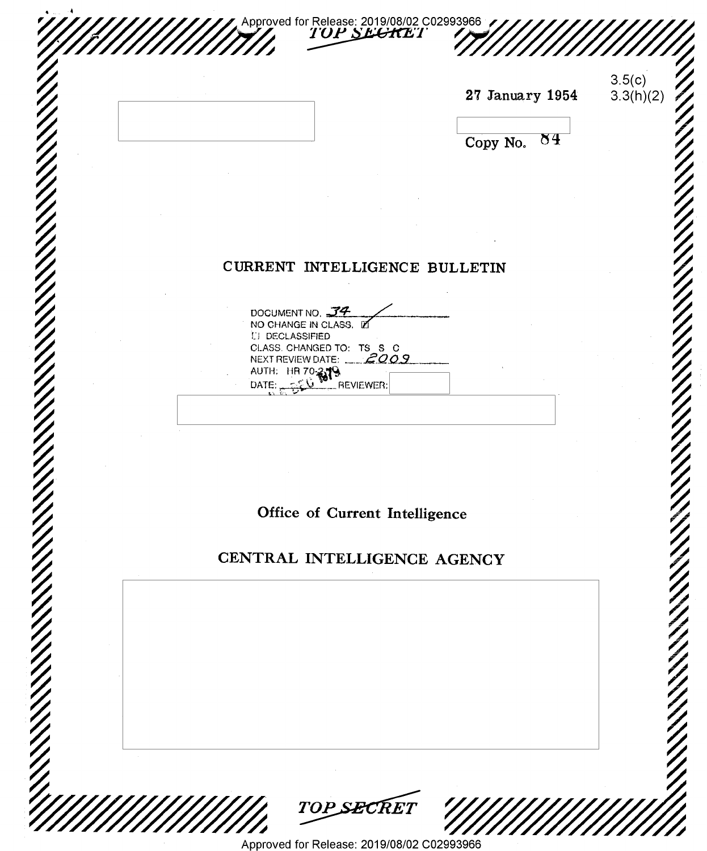|                                        |                                                     | 27 January 1954 | 3.5(c)<br>3.3(h)(2) |
|----------------------------------------|-----------------------------------------------------|-----------------|---------------------|
|                                        |                                                     |                 |                     |
|                                        |                                                     | 84<br>Copy No.  |                     |
|                                        |                                                     |                 |                     |
|                                        |                                                     |                 |                     |
|                                        | CURRENT INTELLIGENCE BULLETIN                       |                 |                     |
|                                        |                                                     |                 |                     |
| DOCUMENT NO. J4<br>NO CHANGE IN CLASS. |                                                     |                 |                     |
| <b>LI DECLASSIFIED</b>                 | CLASS. CHANGED TO: TS S C<br>NEXT REVIEW DATE: 2009 |                 |                     |
| AUTH: HR 70-879                        | REVIEWER:                                           |                 |                     |
|                                        |                                                     |                 |                     |
|                                        |                                                     |                 |                     |
|                                        |                                                     |                 |                     |
|                                        | Office of Current Intelligence                      |                 |                     |
|                                        | CENTRAL INTELLIGENCE AGENCY                         |                 |                     |
|                                        |                                                     |                 |                     |
|                                        |                                                     |                 |                     |
|                                        |                                                     |                 |                     |
|                                        |                                                     |                 |                     |
|                                        |                                                     |                 |                     |
|                                        |                                                     |                 |                     |
|                                        |                                                     |                 |                     |

Approved for Release: 2019/08/02 C02993966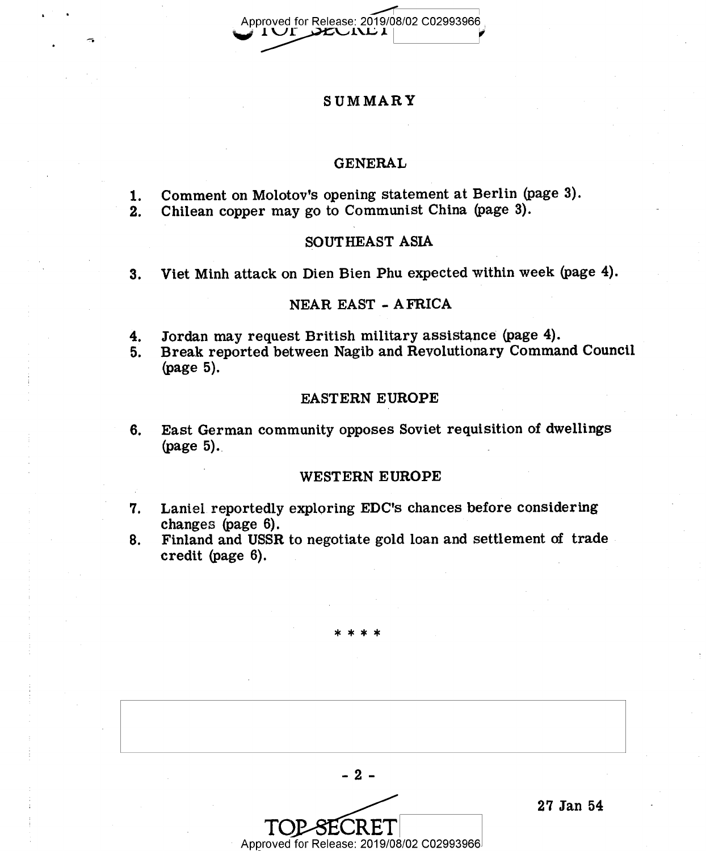Approved for Release: 2019/08/02 C02993966

# SUMMARY

### GENERAL

- 1. Comment on Molotov's opening statement at Berlin (page 3).<br>2. Chilean copper may go to Communist China (page 3).
- 2. Chilean copper may go to Communist China (page 3).

#### SOUTHEAST ASIA

3. Viet Minh attack on Dien Bien Phu expected within week (page 4).

### NEAR EAST - AFRICA

4. Jordan may request British military assistance (page 4).<br>5. Break reported between Nagib and Revolutionary Comman

'

5. Break reported between Nagib and Revolutionary Command Council (page 5).

#### EASTERN EUROPE

6. East German community opposes Soviet requisition of dwellings (page 5).

#### WESTERN EUROPE

- '7. Laniel reportedly exploring EDC's chances before considering changes (page 6).
- 8. Finland and USSR to negotiate gold loan and settlement of trade credit (page 6).

\*\*\*\*

-3- 27 Jan 54<br>Approved for Release: 2019/08/02 C02993966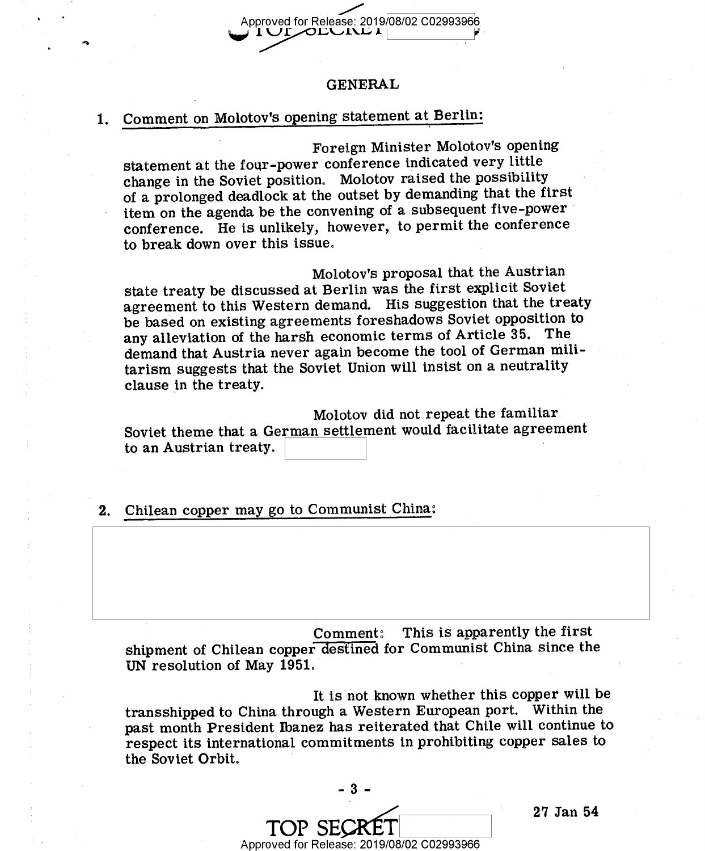Approved for Release: 2019/08/02 C02993966<br>| 1 OFODUND |

#### GENERAL

#### Comment on Molotov's opening statement at Berlini  $1.$

 $\tilde{\phantom{a}}$ 

Foreign Minister Molotov's opening statement at the four-power conference indicated very little change in the Soviet position. Molotov raised the possibility of a prolonged deadlock at the outset by demanding that the first item on the agenda be the convening of a subsequent five-power conference. He is unlikely, however, to permit the conference to break down over this issue.

Molotov's proposal that the Austrian state treaty be discussed at Berlin was the first explicit Soviet agreement to this Western demand. His suggestion that the treaty be based on existing agreements foreshadows Soviet opposition to any alleviation of the harsh economic terms of Article 35. The demand that Austria never again become the tool of German militarism suggests that the Soviet Union will insist on a neutrality clause in the treaty.

Molotov did not repeat the familiar Soviet theme that a German settlement would facilitate agreement to an Austrian treaty.

2. Chilean copper may go to Communist China:

Comment: This is apparently the first shipment of Chilean copper destined for Communist China since the UN resolution of May 1951.

It is not known whether this copper will be transshipped to China through a Western European port. Within the past month President Ibanez has reiterated that Chile will continue to respect its international commitments in prohibiting copper sales to the Soviet Orbit. '

 $-3$ mi» saxfi Approved for Release: 2019/08/02 C02993966

27 Jan 54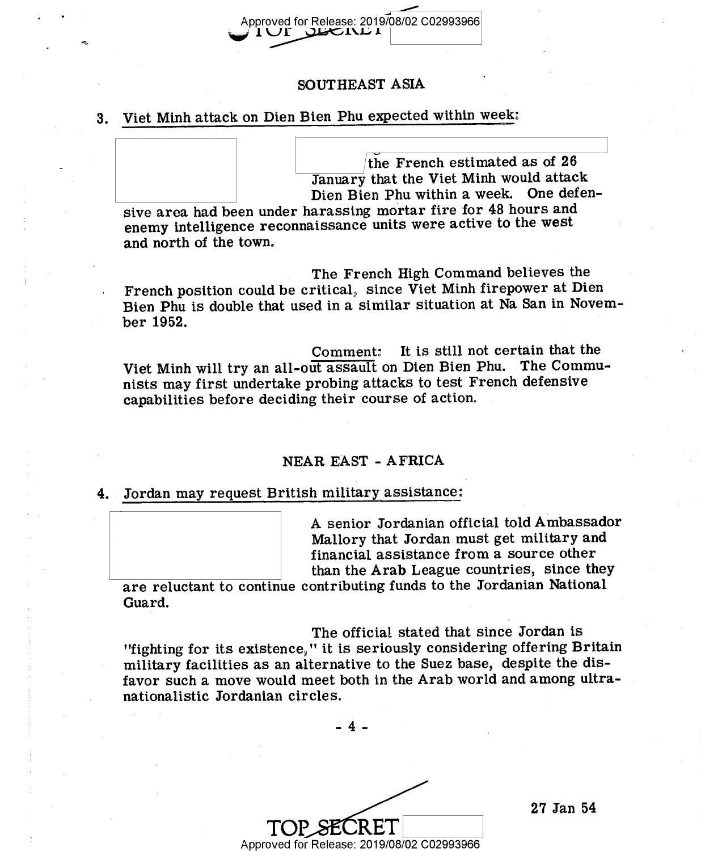# Approved for Release: 2019/08/02 C02993966 <sup>1</sup>\%2.l2'61\1.> .l-

## SOUTHEAST ASIA

#### Viet Minh attack on Dien Bien Phu expected within week;  $3<sub>1</sub>$

 $\frac{1}{2}$   $\frac{1}{2}$   $\frac{1}{2}$   $\frac{1}{2}$   $\frac{1}{2}$   $\frac{1}{2}$   $\frac{1}{2}$   $\frac{1}{2}$   $\frac{1}{2}$   $\frac{1}{2}$   $\frac{1}{2}$   $\frac{1}{2}$   $\frac{1}{2}$   $\frac{1}{2}$   $\frac{1}{2}$   $\frac{1}{2}$   $\frac{1}{2}$   $\frac{1}{2}$   $\frac{1}{2}$   $\frac{1}{2}$   $\frac{1}{2}$   $\frac{1}{2}$  the French estimated as of  $z_0$ January that the Viet Minh would attack Dien Bien Phu Within a week. One defen-

sive area had been under harassing mortar fire for 48 hours and enemy intelligence reconnaissance units were active to the west and north of the town.

The French High Command believes the French position could be critical, since Viet Minh firepower at Dien Bien Phu is double that used in a similar situation at Na San in November 1952.

Comment: It is still not certain that the Viet Minh will try an all-out assault on Dien Bien Phu. The Communists may first undertake probing attacks to test French defensive capabilities before deciding their course of action.

# NEAR EAST - AFRICA

Jordan may request British militaryassistance:

A senior Jordanian official told Ambassador Mallory that Jordan must get military and financial assistance from a source other than the Arab League countries, since they

are reluctant to continue contributing funds to the Jordanian National Guard.

The official stated that since Jordan is "fighting for its existence," it is seriously considering offering Britain military facilities as an alternative to the Suez base, despite the disfavor such a move would meet both in the Arab world and among ultranationalistic Jordanian circles.

-4-

 $\text{TOP}\underset{\mathsf{Approxed}}{\text{SECRET}}$   $\text{19/08/02}$  C02993966

27 Jan 54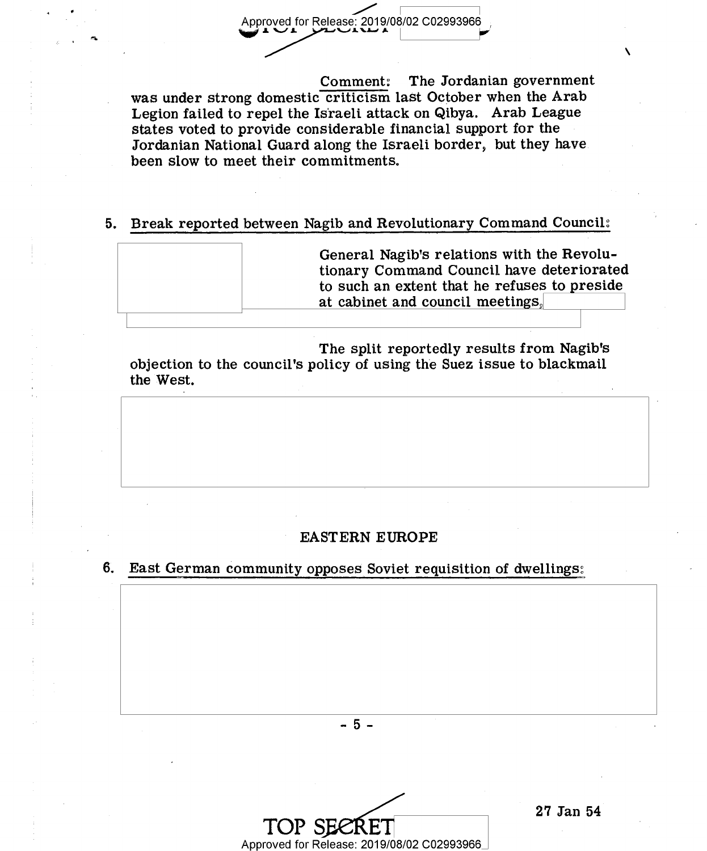Approved for Release: 2019/08/02 C02993966<br>
Comment: The Jorda

The Jordanian government was under strong domestic criticism last October when the Arab Legion failed to repel the Israeli attack on Qibya. Arab League states voted to provide considerable financial support for the Jordanian National Guard along the Israeli border, but they have been slow to meet their commitments.

# 5. Break reported between Nagib and Revolutionary Command Council:

| General Nagib's relations with the Revolu-<br>tionary Command Council have deteriorated<br>to such an extent that he refuses to preside<br>at cabinet and council meetings. |
|-----------------------------------------------------------------------------------------------------------------------------------------------------------------------------|
|                                                                                                                                                                             |

The split reportedly results from Nagib's objection to the council's policy of using the Suez issue to blackmail the West.

#### EASTERN EUROPE

# 6. East German community opposes Soviet requisition of dwellings:

-5-

TOP SECRET<br>Approved for Release: 2019/08/02 C02993966

 $\checkmark$